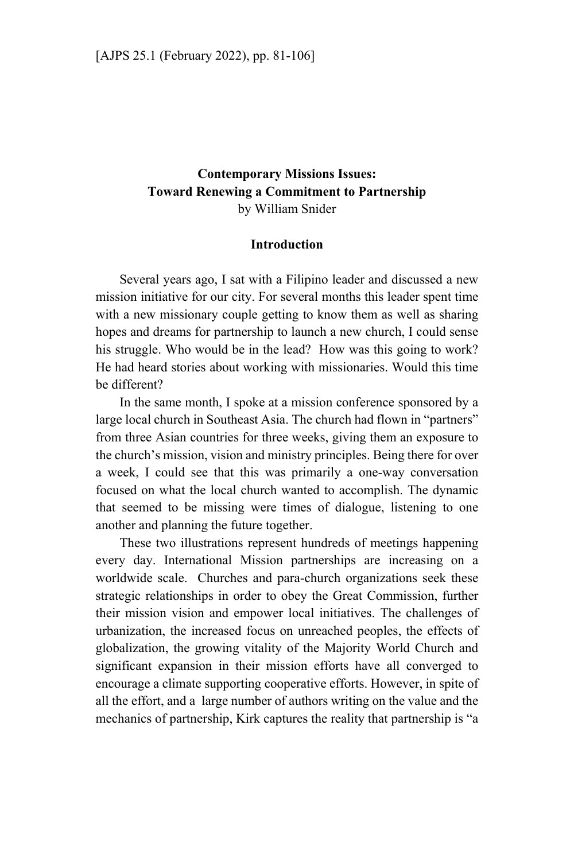# **Contemporary Missions Issues: Toward Renewing a Commitment to Partnership**  by William Snider

#### **Introduction**

Several years ago, I sat with a Filipino leader and discussed a new mission initiative for our city. For several months this leader spent time with a new missionary couple getting to know them as well as sharing hopes and dreams for partnership to launch a new church, I could sense his struggle. Who would be in the lead? How was this going to work? He had heard stories about working with missionaries. Would this time be different?

In the same month, I spoke at a mission conference sponsored by a large local church in Southeast Asia. The church had flown in "partners" from three Asian countries for three weeks, giving them an exposure to the church's mission, vision and ministry principles. Being there for over a week, I could see that this was primarily a one-way conversation focused on what the local church wanted to accomplish. The dynamic that seemed to be missing were times of dialogue, listening to one another and planning the future together.

These two illustrations represent hundreds of meetings happening every day. International Mission partnerships are increasing on a worldwide scale. Churches and para-church organizations seek these strategic relationships in order to obey the Great Commission, further their mission vision and empower local initiatives. The challenges of urbanization, the increased focus on unreached peoples, the effects of globalization, the growing vitality of the Majority World Church and significant expansion in their mission efforts have all converged to encourage a climate supporting cooperative efforts. However, in spite of all the effort, and a large number of authors writing on the value and the mechanics of partnership, Kirk captures the reality that partnership is "a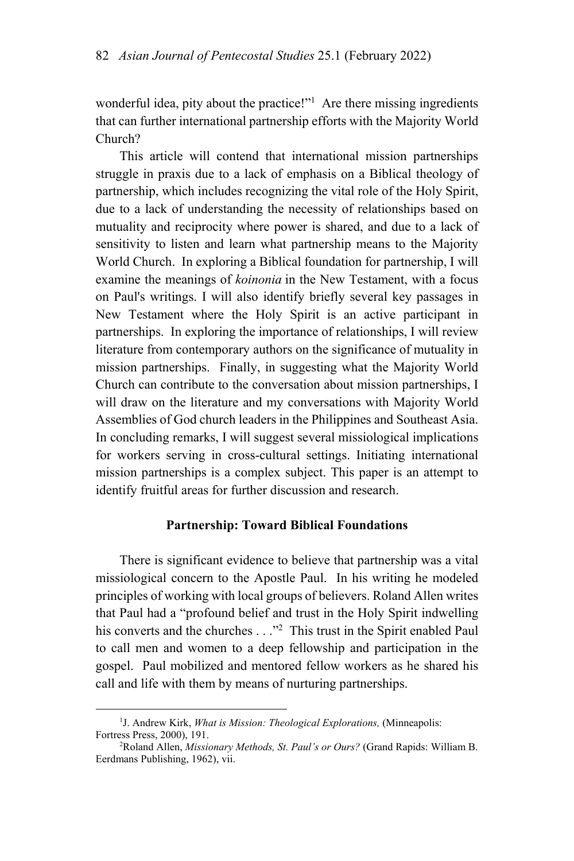wonderful idea, pity about the practice!"<sup>1</sup> Are there missing ingredients that can further international partnership efforts with the Majority World Church?

This article will contend that international mission partnerships struggle in praxis due to a lack of emphasis on a Biblical theology of partnership, which includes recognizing the vital role of the Holy Spirit, due to a lack of understanding the necessity of relationships based on mutuality and reciprocity where power is shared, and due to a lack of sensitivity to listen and learn what partnership means to the Majority World Church. In exploring a Biblical foundation for partnership, I will examine the meanings of *koinonia* in the New Testament, with a focus on Paul's writings. I will also identify briefly several key passages in New Testament where the Holy Spirit is an active participant in partnerships. In exploring the importance of relationships, I will review literature from contemporary authors on the significance of mutuality in mission partnerships. Finally, in suggesting what the Majority World Church can contribute to the conversation about mission partnerships, I will draw on the literature and my conversations with Majority World Assemblies of God church leaders in the Philippines and Southeast Asia. In concluding remarks, I will suggest several missiological implications for workers serving in cross-cultural settings. Initiating international mission partnerships is a complex subject. This paper is an attempt to identify fruitful areas for further discussion and research.

### **Partnership: Toward Biblical Foundations**

There is significant evidence to believe that partnership was a vital missiological concern to the Apostle Paul. In his writing he modeled principles of working with local groups of believers. Roland Allen writes that Paul had a "profound belief and trust in the Holy Spirit indwelling his converts and the churches . . ."<sup>2</sup> This trust in the Spirit enabled Paul to call men and women to a deep fellowship and participation in the gospel. Paul mobilized and mentored fellow workers as he shared his call and life with them by means of nurturing partnerships.

 $\frac{1}{1}$ <sup>1</sup>J. Andrew Kirk, *What is Mission: Theological Explorations*, (Minneapolis: Fortress Press, 2000), 191. 2

Roland Allen, *Missionary Methods, St. Paul's or Ours?* (Grand Rapids: William B. Eerdmans Publishing, 1962), vii.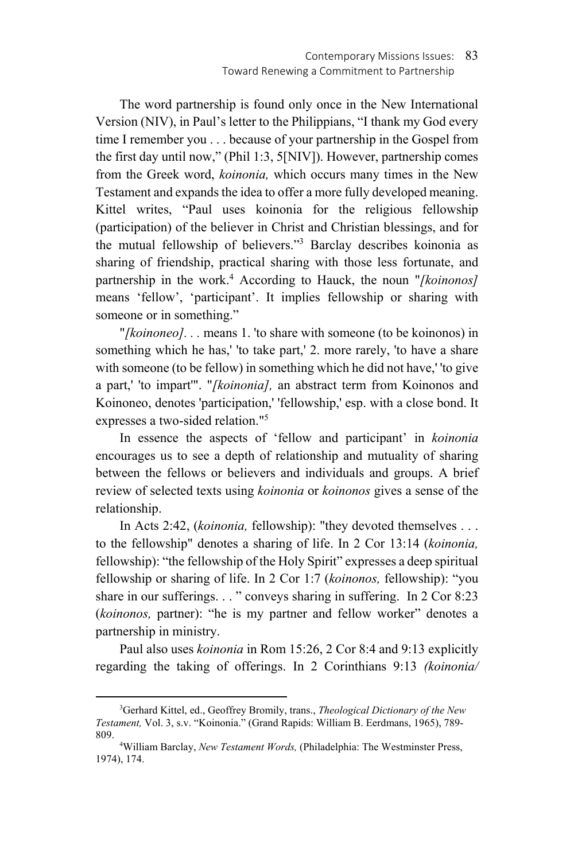The word partnership is found only once in the New International Version (NIV), in Paul's letter to the Philippians, "I thank my God every time I remember you . . . because of your partnership in the Gospel from the first day until now," (Phil 1:3, 5[NIV]). However, partnership comes from the Greek word, *koinonia,* which occurs many times in the New Testament and expands the idea to offer a more fully developed meaning. Kittel writes, "Paul uses koinonia for the religious fellowship (participation) of the believer in Christ and Christian blessings, and for the mutual fellowship of believers."3 Barclay describes koinonia as sharing of friendship, practical sharing with those less fortunate, and partnership in the work.4 According to Hauck, the noun "*[koinonos]*  means 'fellow', 'participant'. It implies fellowship or sharing with someone or in something."

"*[koinoneo]. . .* means 1. 'to share with someone (to be koinonos) in something which he has,' 'to take part,' 2. more rarely, 'to have a share with someone (to be fellow) in something which he did not have,' 'to give a part,' 'to impart'". "*[koinonia],* an abstract term from Koinonos and Koinoneo, denotes 'participation,' 'fellowship,' esp. with a close bond. It expresses a two-sided relation."5

In essence the aspects of 'fellow and participant' in *koinonia* encourages us to see a depth of relationship and mutuality of sharing between the fellows or believers and individuals and groups. A brief review of selected texts using *koinonia* or *koinonos* gives a sense of the relationship.

In Acts 2:42, (*koinonia,* fellowship): "they devoted themselves . . . to the fellowship" denotes a sharing of life. In 2 Cor 13:14 (*koinonia,*  fellowship): "the fellowship of the Holy Spirit" expresses a deep spiritual fellowship or sharing of life. In 2 Cor 1:7 (*koinonos,* fellowship): "you share in our sufferings. . . " conveys sharing in suffering. In 2 Cor 8:23 (*koinonos,* partner): "he is my partner and fellow worker" denotes a partnership in ministry.

Paul also uses *koinonia* in Rom 15:26, 2 Cor 8:4 and 9:13 explicitly regarding the taking of offerings. In 2 Corinthians 9:13 *(koinonia/* 

 <sup>3</sup> Gerhard Kittel, ed., Geoffrey Bromily, trans., *Theological Dictionary of the New Testament,* Vol. 3, s.v. "Koinonia." (Grand Rapids: William B. Eerdmans, 1965), 789- 809. 4

William Barclay, *New Testament Words,* (Philadelphia: The Westminster Press, 1974), 174.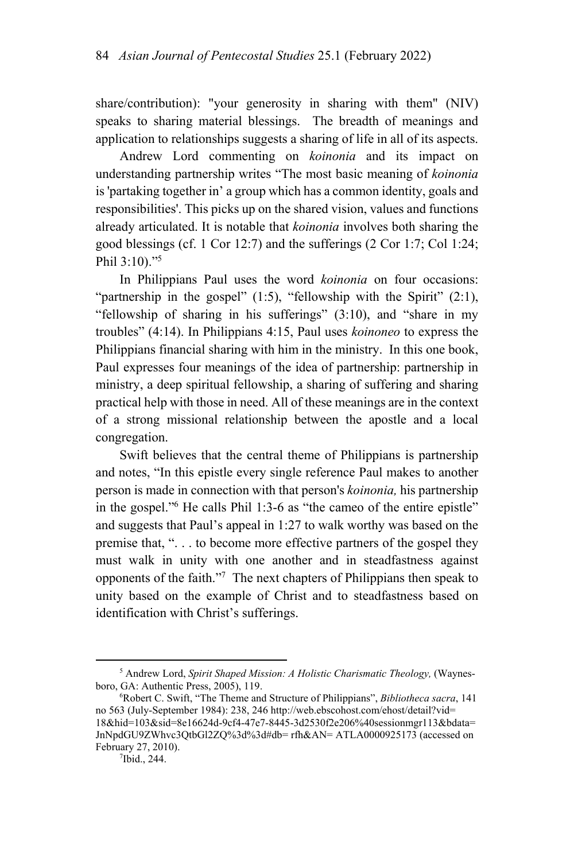share/contribution): "your generosity in sharing with them" (NIV) speaks to sharing material blessings. The breadth of meanings and application to relationships suggests a sharing of life in all of its aspects.

Andrew Lord commenting on *koinonia* and its impact on understanding partnership writes "The most basic meaning of *koinonia*  is 'partaking together in' a group which has a common identity, goals and responsibilities'. This picks up on the shared vision, values and functions already articulated. It is notable that *koinonia* involves both sharing the good blessings (cf. 1 Cor 12:7) and the sufferings (2 Cor 1:7; Col 1:24; Phil 3:10)."5

In Philippians Paul uses the word *koinonia* on four occasions: "partnership in the gospel" (1:5), "fellowship with the Spirit" (2:1), "fellowship of sharing in his sufferings" (3:10), and "share in my troubles" (4:14). In Philippians 4:15, Paul uses *koinoneo* to express the Philippians financial sharing with him in the ministry. In this one book, Paul expresses four meanings of the idea of partnership: partnership in ministry, a deep spiritual fellowship, a sharing of suffering and sharing practical help with those in need. All of these meanings are in the context of a strong missional relationship between the apostle and a local congregation.

Swift believes that the central theme of Philippians is partnership and notes, "In this epistle every single reference Paul makes to another person is made in connection with that person's *koinonia,* his partnership in the gospel."<sup>6</sup> He calls Phil 1:3-6 as "the cameo of the entire epistle" and suggests that Paul's appeal in 1:27 to walk worthy was based on the premise that, ". . . to become more effective partners of the gospel they must walk in unity with one another and in steadfastness against opponents of the faith."7 The next chapters of Philippians then speak to unity based on the example of Christ and to steadfastness based on identification with Christ's sufferings.

 $\frac{1}{5}$ <sup>5</sup> Andrew Lord, *Spirit Shaped Mission: A Holistic Charismatic Theology*, (Waynesboro, GA: Authentic Press, 2005), 119. 6

Robert C. Swift, "The Theme and Structure of Philippians", *Bibliotheca sacra*, 141 no 563 (July-September 1984): 238, 246 http://web.ebscohost.com/ehost/detail?vid= 18&hid=103&sid=8e16624d-9cf4-47e7-8445-3d2530f2e206%40sessionmgr113&bdata= JnNpdGU9ZWhvc3QtbGl2ZQ%3d%3d#db= rfh&AN= ATLA0000925173 (accessed on February 27, 2010). 7

<sup>&</sup>lt;sup>7</sup>Ibid., 244.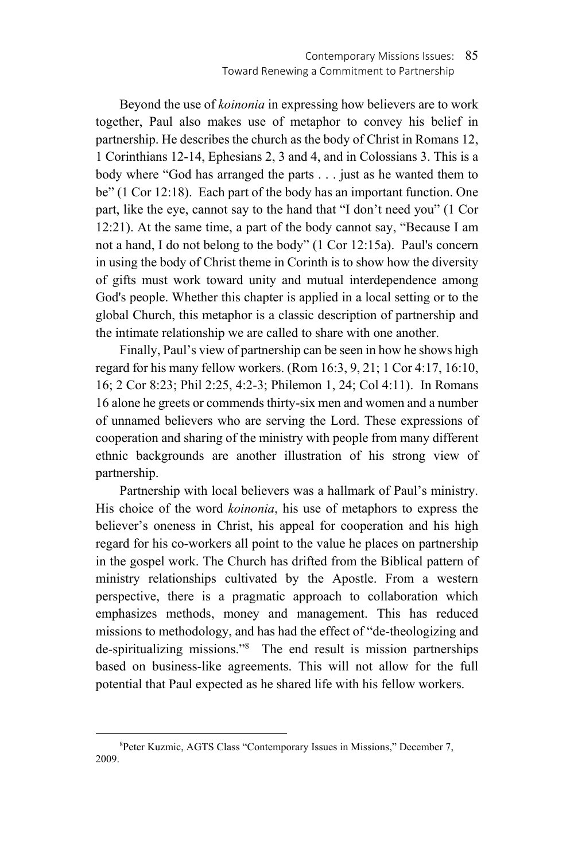Beyond the use of *koinonia* in expressing how believers are to work together, Paul also makes use of metaphor to convey his belief in partnership. He describes the church as the body of Christ in Romans 12, 1 Corinthians 12-14, Ephesians 2, 3 and 4, and in Colossians 3. This is a body where "God has arranged the parts . . . just as he wanted them to be" (1 Cor 12:18). Each part of the body has an important function. One part, like the eye, cannot say to the hand that "I don't need you" (1 Cor 12:21). At the same time, a part of the body cannot say, "Because I am not a hand, I do not belong to the body" (1 Cor 12:15a). Paul's concern in using the body of Christ theme in Corinth is to show how the diversity of gifts must work toward unity and mutual interdependence among God's people. Whether this chapter is applied in a local setting or to the global Church, this metaphor is a classic description of partnership and the intimate relationship we are called to share with one another.

Finally, Paul's view of partnership can be seen in how he shows high regard for his many fellow workers. (Rom 16:3, 9, 21; 1 Cor 4:17, 16:10, 16; 2 Cor 8:23; Phil 2:25, 4:2-3; Philemon 1, 24; Col 4:11). In Romans 16 alone he greets or commends thirty-six men and women and a number of unnamed believers who are serving the Lord. These expressions of cooperation and sharing of the ministry with people from many different ethnic backgrounds are another illustration of his strong view of partnership.

Partnership with local believers was a hallmark of Paul's ministry. His choice of the word *koinonia*, his use of metaphors to express the believer's oneness in Christ, his appeal for cooperation and his high regard for his co-workers all point to the value he places on partnership in the gospel work. The Church has drifted from the Biblical pattern of ministry relationships cultivated by the Apostle. From a western perspective, there is a pragmatic approach to collaboration which emphasizes methods, money and management. This has reduced missions to methodology, and has had the effect of "de-theologizing and de-spiritualizing missions."8 The end result is mission partnerships based on business-like agreements. This will not allow for the full potential that Paul expected as he shared life with his fellow workers.

 $\frac{1}{8}$ Peter Kuzmic, AGTS Class "Contemporary Issues in Missions," December 7, 2009.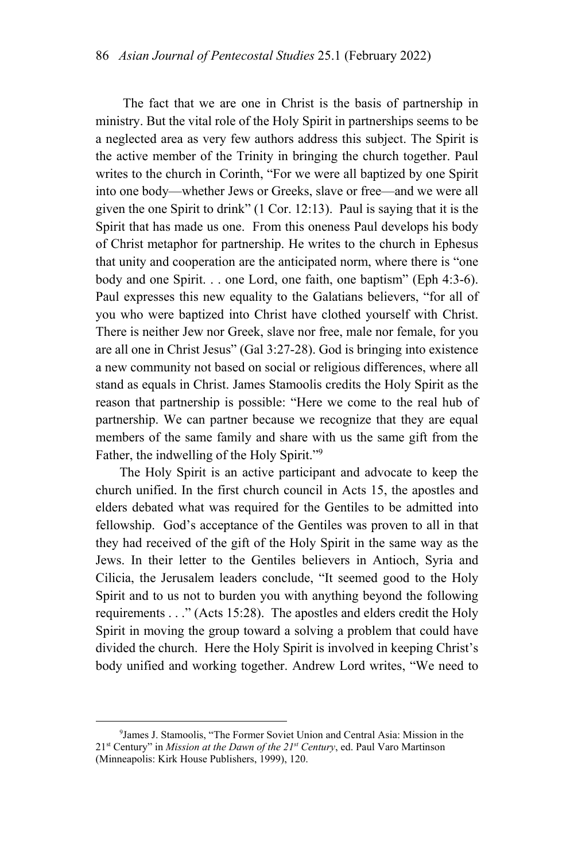The fact that we are one in Christ is the basis of partnership in ministry. But the vital role of the Holy Spirit in partnerships seems to be a neglected area as very few authors address this subject. The Spirit is the active member of the Trinity in bringing the church together. Paul writes to the church in Corinth, "For we were all baptized by one Spirit into one body—whether Jews or Greeks, slave or free—and we were all given the one Spirit to drink" (1 Cor. 12:13). Paul is saying that it is the Spirit that has made us one. From this oneness Paul develops his body of Christ metaphor for partnership. He writes to the church in Ephesus that unity and cooperation are the anticipated norm, where there is "one body and one Spirit. . . one Lord, one faith, one baptism" (Eph 4:3-6). Paul expresses this new equality to the Galatians believers, "for all of you who were baptized into Christ have clothed yourself with Christ. There is neither Jew nor Greek, slave nor free, male nor female, for you are all one in Christ Jesus" (Gal 3:27-28). God is bringing into existence a new community not based on social or religious differences, where all stand as equals in Christ. James Stamoolis credits the Holy Spirit as the reason that partnership is possible: "Here we come to the real hub of partnership. We can partner because we recognize that they are equal members of the same family and share with us the same gift from the Father, the indwelling of the Holy Spirit."<sup>9</sup>

The Holy Spirit is an active participant and advocate to keep the church unified. In the first church council in Acts 15, the apostles and elders debated what was required for the Gentiles to be admitted into fellowship. God's acceptance of the Gentiles was proven to all in that they had received of the gift of the Holy Spirit in the same way as the Jews. In their letter to the Gentiles believers in Antioch, Syria and Cilicia, the Jerusalem leaders conclude, "It seemed good to the Holy Spirit and to us not to burden you with anything beyond the following requirements . . ." (Acts 15:28). The apostles and elders credit the Holy Spirit in moving the group toward a solving a problem that could have divided the church. Here the Holy Spirit is involved in keeping Christ's body unified and working together. Andrew Lord writes, "We need to

 $\frac{1}{9}$ <sup>9</sup> James J. Stamoolis, "The Former Soviet Union and Central Asia: Mission in the 21st Century" in *Mission at the Dawn of the 21st Century*, ed. Paul Varo Martinson (Minneapolis: Kirk House Publishers, 1999), 120.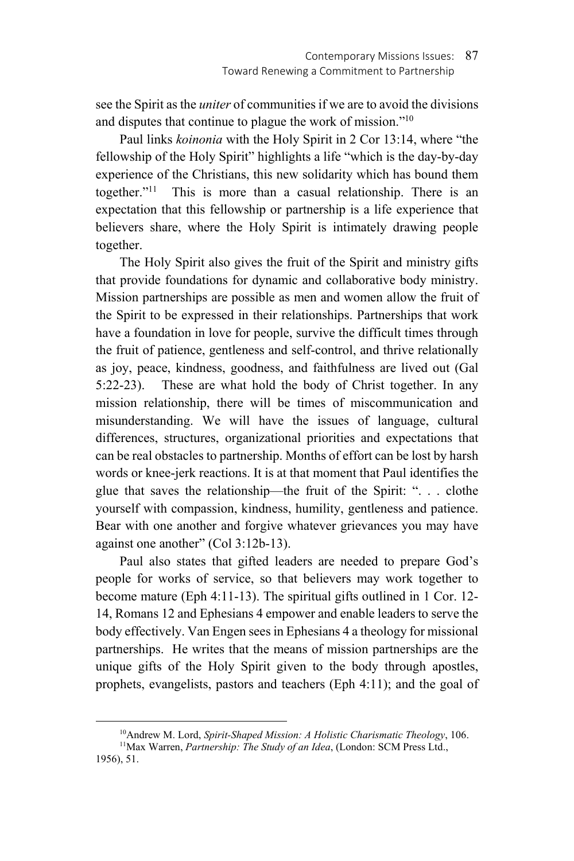see the Spirit as the *uniter* of communities if we are to avoid the divisions and disputes that continue to plague the work of mission."10

Paul links *koinonia* with the Holy Spirit in 2 Cor 13:14, where "the fellowship of the Holy Spirit" highlights a life "which is the day-by-day experience of the Christians, this new solidarity which has bound them together."11 This is more than a casual relationship. There is an expectation that this fellowship or partnership is a life experience that believers share, where the Holy Spirit is intimately drawing people together.

The Holy Spirit also gives the fruit of the Spirit and ministry gifts that provide foundations for dynamic and collaborative body ministry. Mission partnerships are possible as men and women allow the fruit of the Spirit to be expressed in their relationships. Partnerships that work have a foundation in love for people, survive the difficult times through the fruit of patience, gentleness and self-control, and thrive relationally as joy, peace, kindness, goodness, and faithfulness are lived out (Gal 5:22-23). These are what hold the body of Christ together. In any mission relationship, there will be times of miscommunication and misunderstanding. We will have the issues of language, cultural differences, structures, organizational priorities and expectations that can be real obstacles to partnership. Months of effort can be lost by harsh words or knee-jerk reactions. It is at that moment that Paul identifies the glue that saves the relationship—the fruit of the Spirit: ". . . clothe yourself with compassion, kindness, humility, gentleness and patience. Bear with one another and forgive whatever grievances you may have against one another" (Col 3:12b-13).

Paul also states that gifted leaders are needed to prepare God's people for works of service, so that believers may work together to become mature (Eph 4:11-13). The spiritual gifts outlined in 1 Cor. 12- 14, Romans 12 and Ephesians 4 empower and enable leaders to serve the body effectively. Van Engen sees in Ephesians 4 a theology for missional partnerships. He writes that the means of mission partnerships are the unique gifts of the Holy Spirit given to the body through apostles, prophets, evangelists, pastors and teachers (Eph 4:11); and the goal of

<sup>&</sup>lt;sup>10</sup>Andrew M. Lord, *Spirit-Shaped Mission: A Holistic Charismatic Theology*, 106. <sup>11</sup>Max Warren, *Partnership: The Study of an Idea*, (London: SCM Press Ltd.,

<sup>1956), 51.</sup>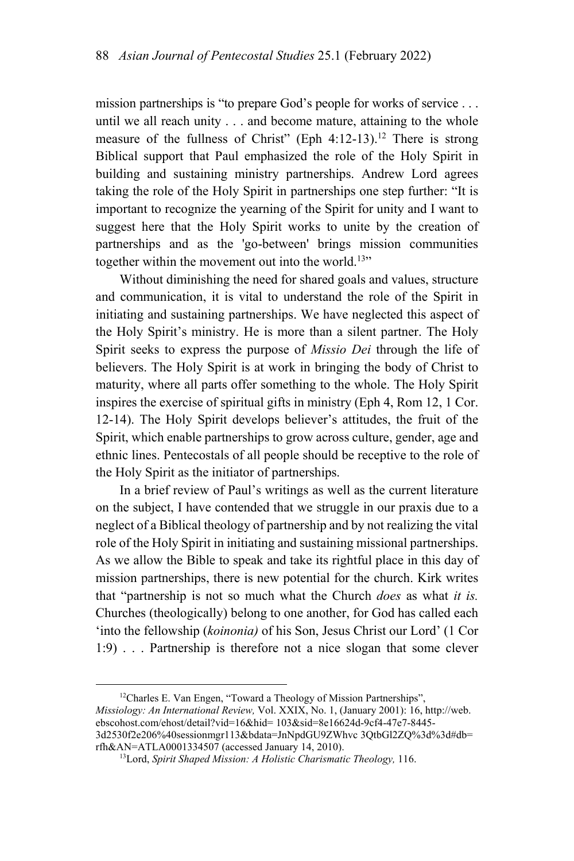mission partnerships is "to prepare God's people for works of service . . . until we all reach unity . . . and become mature, attaining to the whole measure of the fullness of Christ" (Eph  $4:12-13$ ).<sup>12</sup> There is strong Biblical support that Paul emphasized the role of the Holy Spirit in building and sustaining ministry partnerships. Andrew Lord agrees taking the role of the Holy Spirit in partnerships one step further: "It is important to recognize the yearning of the Spirit for unity and I want to suggest here that the Holy Spirit works to unite by the creation of partnerships and as the 'go-between' brings mission communities together within the movement out into the world.<sup>13</sup>"

Without diminishing the need for shared goals and values, structure and communication, it is vital to understand the role of the Spirit in initiating and sustaining partnerships. We have neglected this aspect of the Holy Spirit's ministry. He is more than a silent partner. The Holy Spirit seeks to express the purpose of *Missio Dei* through the life of believers. The Holy Spirit is at work in bringing the body of Christ to maturity, where all parts offer something to the whole. The Holy Spirit inspires the exercise of spiritual gifts in ministry (Eph 4, Rom 12, 1 Cor. 12-14). The Holy Spirit develops believer's attitudes, the fruit of the Spirit, which enable partnerships to grow across culture, gender, age and ethnic lines. Pentecostals of all people should be receptive to the role of the Holy Spirit as the initiator of partnerships.

In a brief review of Paul's writings as well as the current literature on the subject, I have contended that we struggle in our praxis due to a neglect of a Biblical theology of partnership and by not realizing the vital role of the Holy Spirit in initiating and sustaining missional partnerships. As we allow the Bible to speak and take its rightful place in this day of mission partnerships, there is new potential for the church. Kirk writes that "partnership is not so much what the Church *does* as what *it is.*  Churches (theologically) belong to one another, for God has called each 'into the fellowship (*koinonia)* of his Son, Jesus Christ our Lord' (1 Cor 1:9) . . . Partnership is therefore not a nice slogan that some clever

<sup>12</sup>Charles E. Van Engen, "Toward a Theology of Mission Partnerships", *Missiology: An International Review,* Vol. XXIX, No. 1, (January 2001): 16, http://web. ebscohost.com/ehost/detail?vid=16&hid= 103&sid=8e16624d-9cf4-47e7-8445- 3d2530f2e206%40sessionmgr113&bdata=JnNpdGU9ZWhvc 3QtbGl2ZQ%3d%3d#db= rfh&AN=ATLA0001334507 (accessed January 14, 2010). 13Lord, *Spirit Shaped Mission: A Holistic Charismatic Theology,* 116.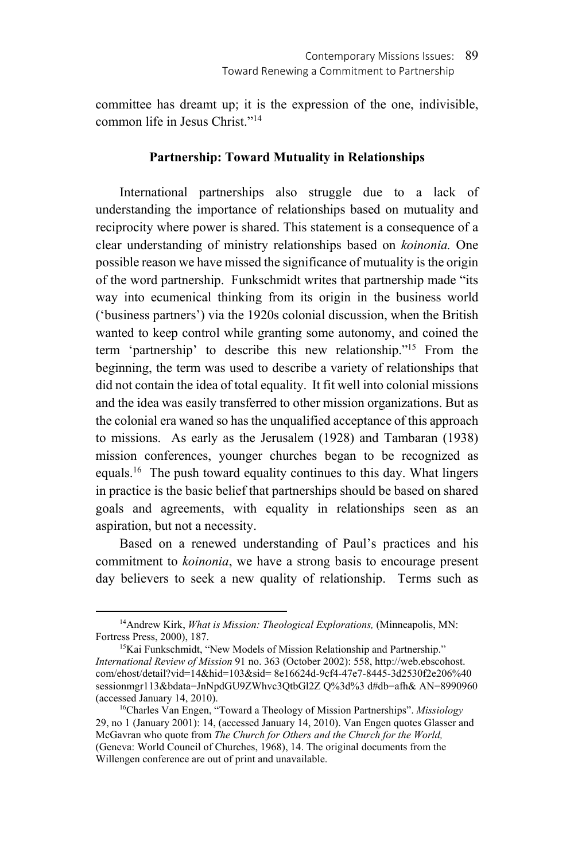committee has dreamt up; it is the expression of the one, indivisible, common life in Jesus Christ."14

## **Partnership: Toward Mutuality in Relationships**

International partnerships also struggle due to a lack of understanding the importance of relationships based on mutuality and reciprocity where power is shared. This statement is a consequence of a clear understanding of ministry relationships based on *koinonia.* One possible reason we have missed the significance of mutuality is the origin of the word partnership. Funkschmidt writes that partnership made "its way into ecumenical thinking from its origin in the business world ('business partners') via the 1920s colonial discussion, when the British wanted to keep control while granting some autonomy, and coined the term 'partnership' to describe this new relationship."15 From the beginning, the term was used to describe a variety of relationships that did not contain the idea of total equality. It fit well into colonial missions and the idea was easily transferred to other mission organizations. But as the colonial era waned so has the unqualified acceptance of this approach to missions. As early as the Jerusalem (1928) and Tambaran (1938) mission conferences, younger churches began to be recognized as equals.16 The push toward equality continues to this day. What lingers in practice is the basic belief that partnerships should be based on shared goals and agreements, with equality in relationships seen as an aspiration, but not a necessity.

Based on a renewed understanding of Paul's practices and his commitment to *koinonia*, we have a strong basis to encourage present day believers to seek a new quality of relationship. Terms such as

 <sup>14</sup>Andrew Kirk, *What is Mission: Theological Explorations,* (Minneapolis, MN: Fortress Press, 2000), 187.<br><sup>15</sup>Kai Funkschmidt, "New Models of Mission Relationship and Partnership."

*International Review of Mission* 91 no. 363 (October 2002): 558, http://web.ebscohost. com/ehost/detail?vid=14&hid=103&sid= 8e16624d-9cf4-47e7-8445-3d2530f2e206%40 sessionmgr113&bdata=JnNpdGU9ZWhvc3QtbGl2Z Q%3d%3 d#db=afh& AN=8990960 (accessed January 14, 2010). 16Charles Van Engen, "Toward a Theology of Mission Partnerships". *Missiology*

<sup>29,</sup> no 1 (January 2001): 14, (accessed January 14, 2010). Van Engen quotes Glasser and McGavran who quote from *The Church for Others and the Church for the World,*  (Geneva: World Council of Churches, 1968), 14. The original documents from the Willengen conference are out of print and unavailable.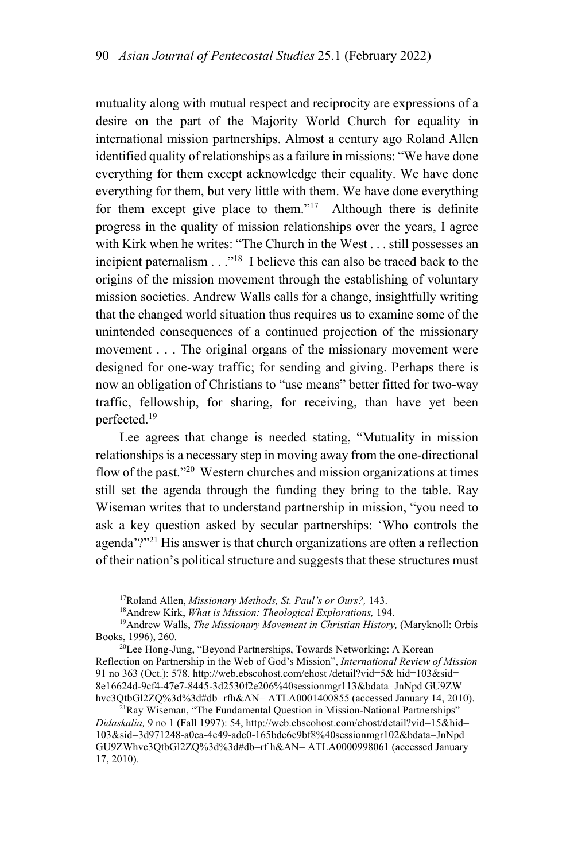mutuality along with mutual respect and reciprocity are expressions of a desire on the part of the Majority World Church for equality in international mission partnerships. Almost a century ago Roland Allen identified quality of relationships as a failure in missions: "We have done everything for them except acknowledge their equality. We have done everything for them, but very little with them. We have done everything for them except give place to them."<sup>17</sup> Although there is definite progress in the quality of mission relationships over the years, I agree with Kirk when he writes: "The Church in the West . . . still possesses an incipient paternalism  $\ldots$ <sup>"18</sup> I believe this can also be traced back to the origins of the mission movement through the establishing of voluntary mission societies. Andrew Walls calls for a change, insightfully writing that the changed world situation thus requires us to examine some of the unintended consequences of a continued projection of the missionary movement . . . The original organs of the missionary movement were designed for one-way traffic; for sending and giving. Perhaps there is now an obligation of Christians to "use means" better fitted for two-way traffic, fellowship, for sharing, for receiving, than have yet been perfected.19

Lee agrees that change is needed stating, "Mutuality in mission relationships is a necessary step in moving away from the one-directional flow of the past."20 Western churches and mission organizations at times still set the agenda through the funding they bring to the table. Ray Wiseman writes that to understand partnership in mission, "you need to ask a key question asked by secular partnerships: 'Who controls the agenda'?"21 His answer is that church organizations are often a reflection of their nation's political structure and suggests that these structures must

<sup>&</sup>lt;sup>17</sup>Roland Allen, *Missionary Methods, St. Paul's or Ours?*, 143.<br><sup>18</sup>Andrew Kirk, *What is Mission: Theological Explorations*, 194.<br><sup>19</sup>Andrew Walls, *The Missionary Movement in Christian History*, (Maryknoll: Orbis Books, 1996), 260.<br><sup>20</sup>Lee Hong-Jung, "Beyond Partnerships, Towards Networking: A Korean

Reflection on Partnership in the Web of God's Mission", *International Review of Mission* 91 no 363 (Oct.): 578. http://web.ebscohost.com/ehost /detail?vid=5& hid=103&sid= 8e16624d-9cf4-47e7-8445-3d2530f2e206%40sessionmgr113&bdata=JnNpd GU9ZW hvc3QtbGl2ZQ%3d%3d#db=rfh&AN= ATLA0001400855 (accessed January 14, 2010).<br><sup>21</sup>Ray Wiseman, "The Fundamental Question in Mission-National Partnerships"

*Didaskalia,* 9 no 1 (Fall 1997): 54, http://web.ebscohost.com/ehost/detail?vid=15&hid= 103&sid=3d971248-a0ca-4c49-adc0-165bde6e9bf8%40sessionmgr102&bdata=JnNpd GU9ZWhvc3QtbGl2ZQ%3d%3d#db=rf h&AN= ATLA0000998061 (accessed January 17, 2010).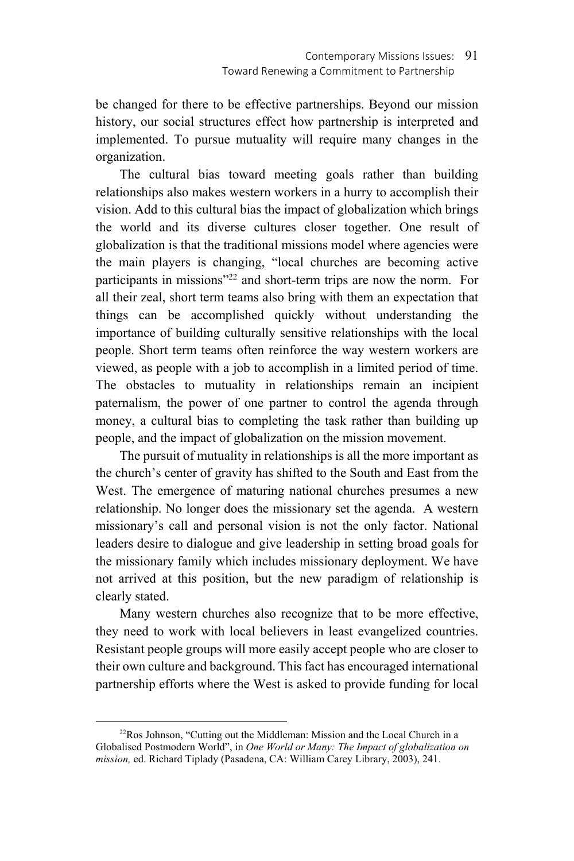be changed for there to be effective partnerships. Beyond our mission history, our social structures effect how partnership is interpreted and implemented. To pursue mutuality will require many changes in the organization.

The cultural bias toward meeting goals rather than building relationships also makes western workers in a hurry to accomplish their vision. Add to this cultural bias the impact of globalization which brings the world and its diverse cultures closer together. One result of globalization is that the traditional missions model where agencies were the main players is changing, "local churches are becoming active participants in missions"22 and short-term trips are now the norm. For all their zeal, short term teams also bring with them an expectation that things can be accomplished quickly without understanding the importance of building culturally sensitive relationships with the local people. Short term teams often reinforce the way western workers are viewed, as people with a job to accomplish in a limited period of time. The obstacles to mutuality in relationships remain an incipient paternalism, the power of one partner to control the agenda through money, a cultural bias to completing the task rather than building up people, and the impact of globalization on the mission movement.

The pursuit of mutuality in relationships is all the more important as the church's center of gravity has shifted to the South and East from the West. The emergence of maturing national churches presumes a new relationship. No longer does the missionary set the agenda. A western missionary's call and personal vision is not the only factor. National leaders desire to dialogue and give leadership in setting broad goals for the missionary family which includes missionary deployment. We have not arrived at this position, but the new paradigm of relationship is clearly stated.

Many western churches also recognize that to be more effective, they need to work with local believers in least evangelized countries. Resistant people groups will more easily accept people who are closer to their own culture and background. This fact has encouraged international partnership efforts where the West is asked to provide funding for local

<sup>&</sup>lt;sup>22</sup>Ros Johnson, "Cutting out the Middleman: Mission and the Local Church in a Globalised Postmodern World", in *One World or Many: The Impact of globalization on mission,* ed. Richard Tiplady (Pasadena, CA: William Carey Library, 2003), 241.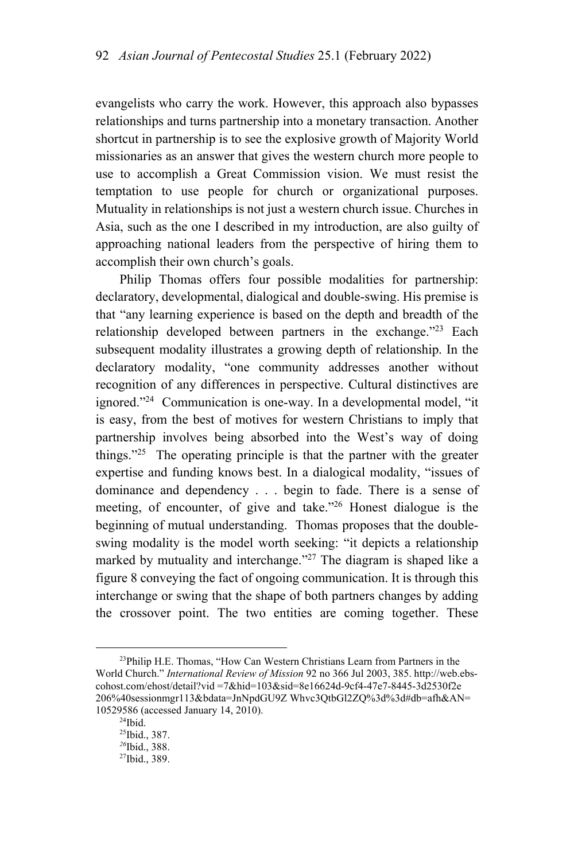evangelists who carry the work. However, this approach also bypasses relationships and turns partnership into a monetary transaction. Another shortcut in partnership is to see the explosive growth of Majority World missionaries as an answer that gives the western church more people to use to accomplish a Great Commission vision. We must resist the temptation to use people for church or organizational purposes. Mutuality in relationships is not just a western church issue. Churches in Asia, such as the one I described in my introduction, are also guilty of approaching national leaders from the perspective of hiring them to accomplish their own church's goals.

Philip Thomas offers four possible modalities for partnership: declaratory, developmental, dialogical and double-swing. His premise is that "any learning experience is based on the depth and breadth of the relationship developed between partners in the exchange."<sup>23</sup> Each subsequent modality illustrates a growing depth of relationship. In the declaratory modality, "one community addresses another without recognition of any differences in perspective. Cultural distinctives are ignored."24 Communication is one-way. In a developmental model, "it is easy, from the best of motives for western Christians to imply that partnership involves being absorbed into the West's way of doing things."<sup>25</sup> The operating principle is that the partner with the greater expertise and funding knows best. In a dialogical modality, "issues of dominance and dependency . . . begin to fade. There is a sense of meeting, of encounter, of give and take."26 Honest dialogue is the beginning of mutual understanding. Thomas proposes that the doubleswing modality is the model worth seeking: "it depicts a relationship marked by mutuality and interchange."<sup>27</sup> The diagram is shaped like a figure 8 conveying the fact of ongoing communication. It is through this interchange or swing that the shape of both partners changes by adding the crossover point. The two entities are coming together. These

<sup>&</sup>lt;sup>23</sup>Philip H.E. Thomas, "How Can Western Christians Learn from Partners in the World Church." *International Review of Mission* 92 no 366 Jul 2003, 385. http://web.ebscohost.com/ehost/detail?vid =7&hid=103&sid=8e16624d-9cf4-47e7-8445-3d2530f2e 206%40sessionmgr113&bdata=JnNpdGU9Z Whvc3QtbGl2ZQ%3d%3d#db=afh&AN= 10529586 (accessed January 14, 2010). 24Ibid.

<sup>25</sup>Ibid., 387.

*<sup>26</sup>*Ibid., 388.

<sup>27</sup>Ibid., 389.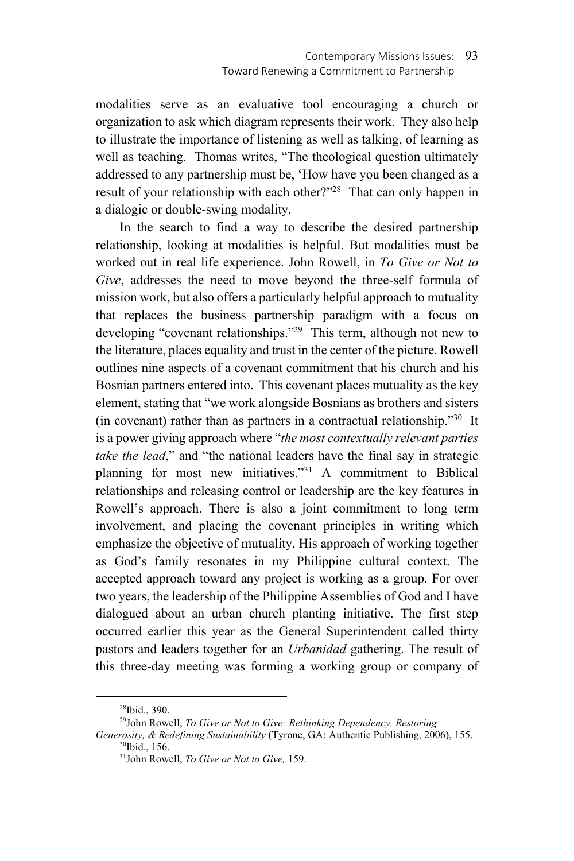modalities serve as an evaluative tool encouraging a church or organization to ask which diagram represents their work. They also help to illustrate the importance of listening as well as talking, of learning as well as teaching. Thomas writes, "The theological question ultimately addressed to any partnership must be, 'How have you been changed as a result of your relationship with each other?"<sup>28</sup> That can only happen in a dialogic or double-swing modality.

In the search to find a way to describe the desired partnership relationship, looking at modalities is helpful. But modalities must be worked out in real life experience. John Rowell, in *To Give or Not to Give*, addresses the need to move beyond the three-self formula of mission work, but also offers a particularly helpful approach to mutuality that replaces the business partnership paradigm with a focus on developing "covenant relationships."<sup>29</sup> This term, although not new to the literature, places equality and trust in the center of the picture. Rowell outlines nine aspects of a covenant commitment that his church and his Bosnian partners entered into. This covenant places mutuality as the key element, stating that "we work alongside Bosnians as brothers and sisters (in covenant) rather than as partners in a contractual relationship."30 It is a power giving approach where "*the most contextually relevant parties take the lead*," and "the national leaders have the final say in strategic planning for most new initiatives."31 A commitment to Biblical relationships and releasing control or leadership are the key features in Rowell's approach. There is also a joint commitment to long term involvement, and placing the covenant principles in writing which emphasize the objective of mutuality. His approach of working together as God's family resonates in my Philippine cultural context. The accepted approach toward any project is working as a group. For over two years, the leadership of the Philippine Assemblies of God and I have dialogued about an urban church planting initiative. The first step occurred earlier this year as the General Superintendent called thirty pastors and leaders together for an *Urbanidad* gathering. The result of this three-day meeting was forming a working group or company of

 <sup>28</sup>Ibid., 390.

<sup>29</sup>John Rowell, *To Give or Not to Give: Rethinking Dependency, Restoring* 

*Generosity, & Redefining Sustainability* (Tyrone, GA: Authentic Publishing, 2006), 155. <sup>30</sup>Ibid., 156.

<sup>31</sup>John Rowell, *To Give or Not to Give,* 159.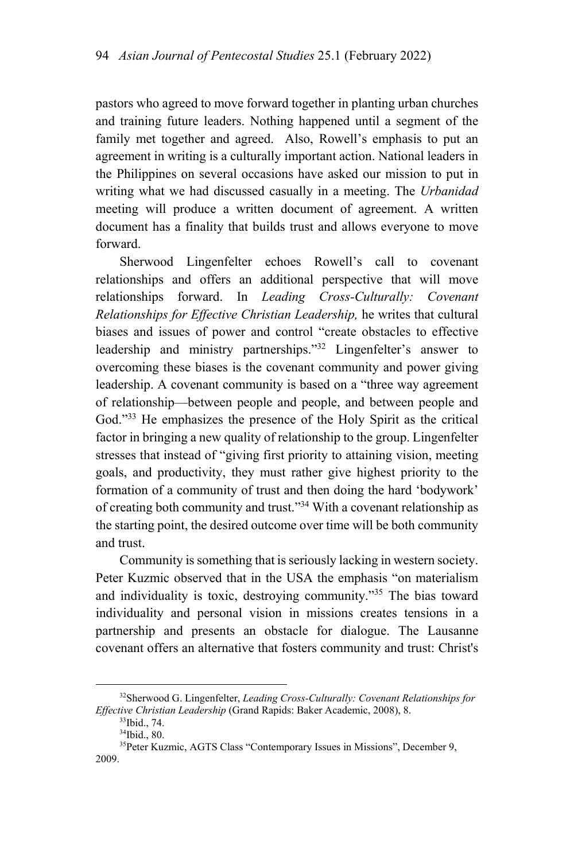pastors who agreed to move forward together in planting urban churches and training future leaders. Nothing happened until a segment of the family met together and agreed. Also, Rowell's emphasis to put an agreement in writing is a culturally important action. National leaders in the Philippines on several occasions have asked our mission to put in writing what we had discussed casually in a meeting. The *Urbanidad*  meeting will produce a written document of agreement. A written document has a finality that builds trust and allows everyone to move forward.

Sherwood Lingenfelter echoes Rowell's call to covenant relationships and offers an additional perspective that will move relationships forward. In *Leading Cross-Culturally: Covenant Relationships for Effective Christian Leadership,* he writes that cultural biases and issues of power and control "create obstacles to effective leadership and ministry partnerships."32 Lingenfelter's answer to overcoming these biases is the covenant community and power giving leadership. A covenant community is based on a "three way agreement of relationship—between people and people, and between people and God."<sup>33</sup> He emphasizes the presence of the Holy Spirit as the critical factor in bringing a new quality of relationship to the group. Lingenfelter stresses that instead of "giving first priority to attaining vision, meeting goals, and productivity, they must rather give highest priority to the formation of a community of trust and then doing the hard 'bodywork' of creating both community and trust."34 With a covenant relationship as the starting point, the desired outcome over time will be both community and trust.

Community is something that is seriously lacking in western society. Peter Kuzmic observed that in the USA the emphasis "on materialism and individuality is toxic, destroying community."<sup>35</sup> The bias toward individuality and personal vision in missions creates tensions in a partnership and presents an obstacle for dialogue. The Lausanne covenant offers an alternative that fosters community and trust: Christ's

 <sup>32</sup>Sherwood G. Lingenfelter, *Leading Cross-Culturally: Covenant Relationships for Effective Christian Leadership* (Grand Rapids: Baker Academic, 2008), 8. 33Ibid., 74.

<sup>34</sup>Ibid., 80.

<sup>35</sup>Peter Kuzmic, AGTS Class "Contemporary Issues in Missions", December 9, 2009.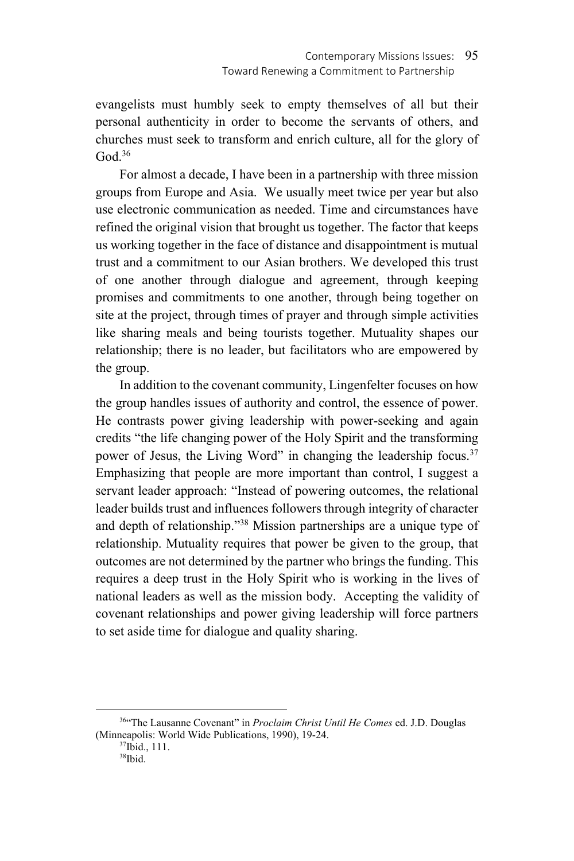evangelists must humbly seek to empty themselves of all but their personal authenticity in order to become the servants of others, and churches must seek to transform and enrich culture, all for the glory of  $God.<sup>36</sup>$ 

For almost a decade, I have been in a partnership with three mission groups from Europe and Asia. We usually meet twice per year but also use electronic communication as needed. Time and circumstances have refined the original vision that brought us together. The factor that keeps us working together in the face of distance and disappointment is mutual trust and a commitment to our Asian brothers. We developed this trust of one another through dialogue and agreement, through keeping promises and commitments to one another, through being together on site at the project, through times of prayer and through simple activities like sharing meals and being tourists together. Mutuality shapes our relationship; there is no leader, but facilitators who are empowered by the group.

In addition to the covenant community, Lingenfelter focuses on how the group handles issues of authority and control, the essence of power. He contrasts power giving leadership with power-seeking and again credits "the life changing power of the Holy Spirit and the transforming power of Jesus, the Living Word" in changing the leadership focus.<sup>37</sup> Emphasizing that people are more important than control, I suggest a servant leader approach: "Instead of powering outcomes, the relational leader builds trust and influences followers through integrity of character and depth of relationship."38 Mission partnerships are a unique type of relationship. Mutuality requires that power be given to the group, that outcomes are not determined by the partner who brings the funding. This requires a deep trust in the Holy Spirit who is working in the lives of national leaders as well as the mission body. Accepting the validity of covenant relationships and power giving leadership will force partners to set aside time for dialogue and quality sharing.

 <sup>36&</sup>quot;The Lausanne Covenant" in *Proclaim Christ Until He Comes* ed. J.D. Douglas (Minneapolis: World Wide Publications, 1990), 19-24.<br><sup>37</sup>Ibid., 111.

<sup>38</sup>Ibid.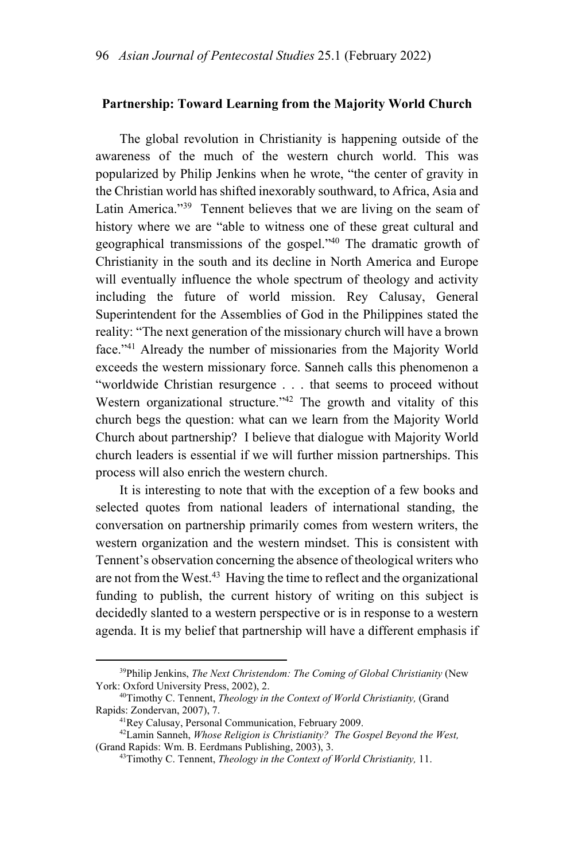### **Partnership: Toward Learning from the Majority World Church**

The global revolution in Christianity is happening outside of the awareness of the much of the western church world. This was popularized by Philip Jenkins when he wrote, "the center of gravity in the Christian world has shifted inexorably southward, to Africa, Asia and Latin America."<sup>39</sup> Tennent believes that we are living on the seam of history where we are "able to witness one of these great cultural and geographical transmissions of the gospel."40 The dramatic growth of Christianity in the south and its decline in North America and Europe will eventually influence the whole spectrum of theology and activity including the future of world mission. Rey Calusay, General Superintendent for the Assemblies of God in the Philippines stated the reality: "The next generation of the missionary church will have a brown face."41 Already the number of missionaries from the Majority World exceeds the western missionary force. Sanneh calls this phenomenon a "worldwide Christian resurgence . . . that seems to proceed without Western organizational structure."<sup>42</sup> The growth and vitality of this church begs the question: what can we learn from the Majority World Church about partnership? I believe that dialogue with Majority World church leaders is essential if we will further mission partnerships. This process will also enrich the western church.

It is interesting to note that with the exception of a few books and selected quotes from national leaders of international standing, the conversation on partnership primarily comes from western writers, the western organization and the western mindset. This is consistent with Tennent's observation concerning the absence of theological writers who are not from the West.<sup>43</sup> Having the time to reflect and the organizational funding to publish, the current history of writing on this subject is decidedly slanted to a western perspective or is in response to a western agenda. It is my belief that partnership will have a different emphasis if

 <sup>39</sup>Philip Jenkins, *The Next Christendom: The Coming of Global Christianity* (New

York: Oxford University Press, 2002), 2.<br><sup>40</sup>Timothy C. Tennent, *Theology in the Context of World Christianity*, (Grand<br>Rapids: Zondervan, 2007), 7.

<sup>&</sup>lt;sup>41</sup>Rey Calusay, Personal Communication, February 2009.<br><sup>42</sup>Lamin Sanneh, *Whose Religion is Christianity? The Gospel Beyond the West,* (Grand Rapids: Wm. B. Eerdmans Publishing, 2003), 3.

<sup>&</sup>lt;sup>43</sup> Timothy C. Tennent, *Theology in the Context of World Christianity*, 11.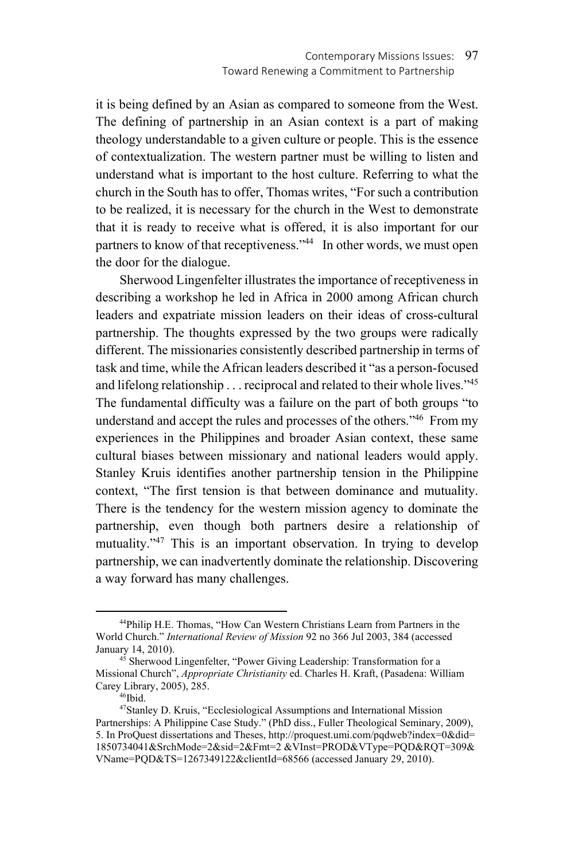it is being defined by an Asian as compared to someone from the West. The defining of partnership in an Asian context is a part of making theology understandable to a given culture or people. This is the essence of contextualization. The western partner must be willing to listen and understand what is important to the host culture. Referring to what the church in the South has to offer, Thomas writes, "For such a contribution to be realized, it is necessary for the church in the West to demonstrate that it is ready to receive what is offered, it is also important for our partners to know of that receptiveness."<sup>44</sup> In other words, we must open the door for the dialogue.

Sherwood Lingenfelter illustrates the importance of receptiveness in describing a workshop he led in Africa in 2000 among African church leaders and expatriate mission leaders on their ideas of cross-cultural partnership. The thoughts expressed by the two groups were radically different. The missionaries consistently described partnership in terms of task and time, while the African leaders described it "as a person-focused and lifelong relationship . . . reciprocal and related to their whole lives."<sup>45</sup> The fundamental difficulty was a failure on the part of both groups "to understand and accept the rules and processes of the others."<sup>46</sup> From my experiences in the Philippines and broader Asian context, these same cultural biases between missionary and national leaders would apply. Stanley Kruis identifies another partnership tension in the Philippine context, "The first tension is that between dominance and mutuality. There is the tendency for the western mission agency to dominate the partnership, even though both partners desire a relationship of mutuality."<sup>47</sup> This is an important observation. In trying to develop partnership, we can inadvertently dominate the relationship. Discovering a way forward has many challenges.

 <sup>44</sup>Philip H.E. Thomas, "How Can Western Christians Learn from Partners in the World Church." *International Review of Mission* 92 no 366 Jul 2003, 384 (accessed January 14, 2010). 45 Sherwood Lingenfelter, "Power Giving Leadership: Transformation for a

Missional Church", *Appropriate Christianity* ed. Charles H. Kraft, (Pasadena: William Carey Library, 2005), 285.<br><sup>46</sup>Ibid.

<sup>47</sup>Stanley D. Kruis, "Ecclesiological Assumptions and International Mission Partnerships: A Philippine Case Study." (PhD diss., Fuller Theological Seminary, 2009), 5. In ProQuest dissertations and Theses, http://proquest.umi.com/pqdweb?index=0&did= 1850734041&SrchMode=2&sid=2&Fmt=2 &VInst=PROD&VType=PQD&RQT=309& VName=PQD&TS=1267349122&clientId=68566 (accessed January 29, 2010).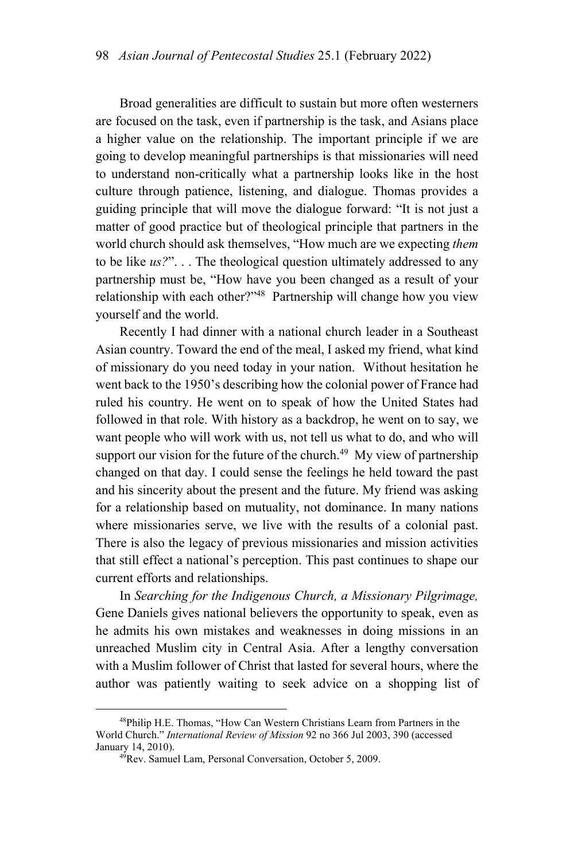Broad generalities are difficult to sustain but more often westerners are focused on the task, even if partnership is the task, and Asians place a higher value on the relationship. The important principle if we are going to develop meaningful partnerships is that missionaries will need to understand non-critically what a partnership looks like in the host culture through patience, listening, and dialogue. Thomas provides a guiding principle that will move the dialogue forward: "It is not just a matter of good practice but of theological principle that partners in the world church should ask themselves, "How much are we expecting *them*  to be like *us?*". . . The theological question ultimately addressed to any partnership must be, "How have you been changed as a result of your relationship with each other?"48 Partnership will change how you view yourself and the world.

Recently I had dinner with a national church leader in a Southeast Asian country. Toward the end of the meal, I asked my friend, what kind of missionary do you need today in your nation. Without hesitation he went back to the 1950's describing how the colonial power of France had ruled his country. He went on to speak of how the United States had followed in that role. With history as a backdrop, he went on to say, we want people who will work with us, not tell us what to do, and who will support our vision for the future of the church.<sup>49</sup> My view of partnership changed on that day. I could sense the feelings he held toward the past and his sincerity about the present and the future. My friend was asking for a relationship based on mutuality, not dominance. In many nations where missionaries serve, we live with the results of a colonial past. There is also the legacy of previous missionaries and mission activities that still effect a national's perception. This past continues to shape our current efforts and relationships.

In *Searching for the Indigenous Church, a Missionary Pilgrimage,*  Gene Daniels gives national believers the opportunity to speak, even as he admits his own mistakes and weaknesses in doing missions in an unreached Muslim city in Central Asia. After a lengthy conversation with a Muslim follower of Christ that lasted for several hours, where the author was patiently waiting to seek advice on a shopping list of

 <sup>48</sup>Philip H.E. Thomas, "How Can Western Christians Learn from Partners in the World Church." *International Review of Mission* 92 no 366 Jul 2003, 390 (accessed January 14, 2010). 49Rev. Samuel Lam, Personal Conversation, October 5, 2009.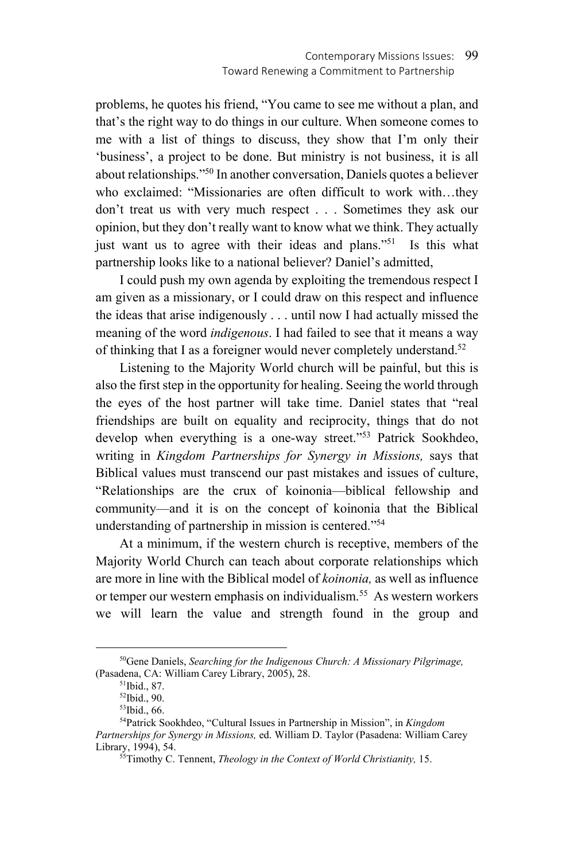problems, he quotes his friend, "You came to see me without a plan, and that's the right way to do things in our culture. When someone comes to me with a list of things to discuss, they show that I'm only their 'business', a project to be done. But ministry is not business, it is all about relationships."50 In another conversation, Daniels quotes a believer who exclaimed: "Missionaries are often difficult to work with…they don't treat us with very much respect . . . Sometimes they ask our opinion, but they don't really want to know what we think. They actually just want us to agree with their ideas and plans."<sup>51</sup> Is this what partnership looks like to a national believer? Daniel's admitted,

I could push my own agenda by exploiting the tremendous respect I am given as a missionary, or I could draw on this respect and influence the ideas that arise indigenously . . . until now I had actually missed the meaning of the word *indigenous*. I had failed to see that it means a way of thinking that I as a foreigner would never completely understand.<sup>52</sup>

Listening to the Majority World church will be painful, but this is also the first step in the opportunity for healing. Seeing the world through the eyes of the host partner will take time. Daniel states that "real friendships are built on equality and reciprocity, things that do not develop when everything is a one-way street."<sup>53</sup> Patrick Sookhdeo, writing in *Kingdom Partnerships for Synergy in Missions,* says that Biblical values must transcend our past mistakes and issues of culture, "Relationships are the crux of koinonia—biblical fellowship and community—and it is on the concept of koinonia that the Biblical understanding of partnership in mission is centered."54

At a minimum, if the western church is receptive, members of the Majority World Church can teach about corporate relationships which are more in line with the Biblical model of *koinonia,* as well as influence or temper our western emphasis on individualism.<sup>55</sup> As western workers we will learn the value and strength found in the group and

 <sup>50</sup>Gene Daniels, *Searching for the Indigenous Church: A Missionary Pilgrimage,*  (Pasadena, CA: William Carey Library, 2005), 28.<br><sup>51</sup>Ibid., 87.

<sup>52</sup>Ibid., 90.

<sup>53</sup>Ibid., 66.

<sup>54</sup>Patrick Sookhdeo, "Cultural Issues in Partnership in Mission", in *Kingdom Partnerships for Synergy in Missions,* ed. William D. Taylor (Pasadena: William Carey

<sup>&</sup>lt;sup>55</sup>Timothy C. Tennent, *Theology in the Context of World Christianity*, 15.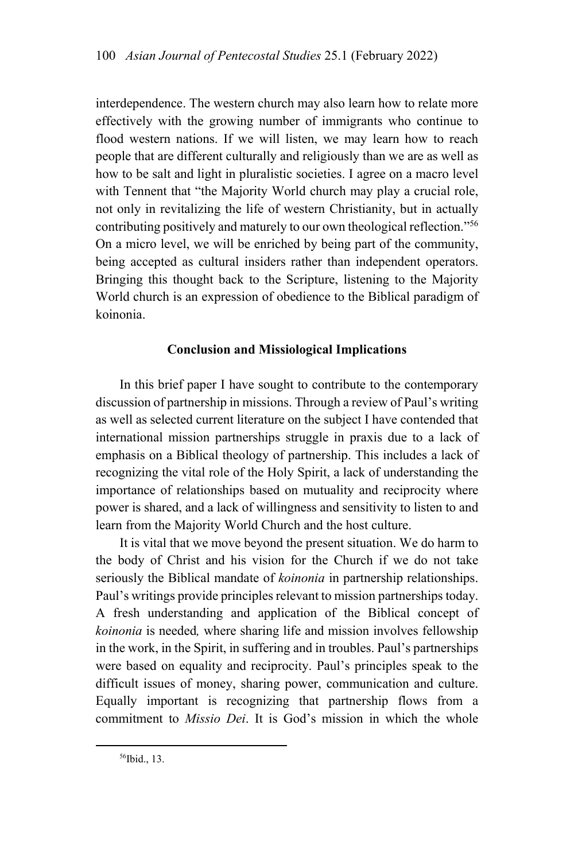interdependence. The western church may also learn how to relate more effectively with the growing number of immigrants who continue to flood western nations. If we will listen, we may learn how to reach people that are different culturally and religiously than we are as well as how to be salt and light in pluralistic societies. I agree on a macro level with Tennent that "the Majority World church may play a crucial role, not only in revitalizing the life of western Christianity, but in actually contributing positively and maturely to our own theological reflection."56 On a micro level, we will be enriched by being part of the community, being accepted as cultural insiders rather than independent operators. Bringing this thought back to the Scripture, listening to the Majority World church is an expression of obedience to the Biblical paradigm of koinonia.

### **Conclusion and Missiological Implications**

In this brief paper I have sought to contribute to the contemporary discussion of partnership in missions. Through a review of Paul's writing as well as selected current literature on the subject I have contended that international mission partnerships struggle in praxis due to a lack of emphasis on a Biblical theology of partnership. This includes a lack of recognizing the vital role of the Holy Spirit, a lack of understanding the importance of relationships based on mutuality and reciprocity where power is shared, and a lack of willingness and sensitivity to listen to and learn from the Majority World Church and the host culture.

It is vital that we move beyond the present situation. We do harm to the body of Christ and his vision for the Church if we do not take seriously the Biblical mandate of *koinonia* in partnership relationships. Paul's writings provide principles relevant to mission partnerships today. A fresh understanding and application of the Biblical concept of *koinonia* is needed*,* where sharing life and mission involves fellowship in the work, in the Spirit, in suffering and in troubles. Paul's partnerships were based on equality and reciprocity. Paul's principles speak to the difficult issues of money, sharing power, communication and culture. Equally important is recognizing that partnership flows from a commitment to *Missio Dei*. It is God's mission in which the whole

56Ibid., 13.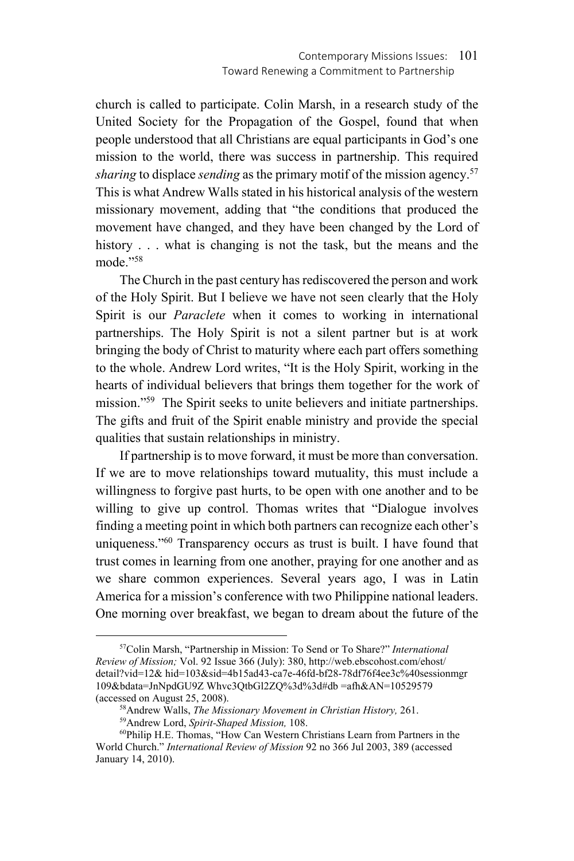church is called to participate. Colin Marsh, in a research study of the United Society for the Propagation of the Gospel, found that when people understood that all Christians are equal participants in God's one mission to the world, there was success in partnership. This required *sharing* to displace *sending* as the primary motif of the mission agency.<sup>57</sup> This is what Andrew Walls stated in his historical analysis of the western missionary movement, adding that "the conditions that produced the movement have changed, and they have been changed by the Lord of history . . . what is changing is not the task, but the means and the mode."58

The Church in the past century has rediscovered the person and work of the Holy Spirit. But I believe we have not seen clearly that the Holy Spirit is our *Paraclete* when it comes to working in international partnerships. The Holy Spirit is not a silent partner but is at work bringing the body of Christ to maturity where each part offers something to the whole. Andrew Lord writes, "It is the Holy Spirit, working in the hearts of individual believers that brings them together for the work of mission."59 The Spirit seeks to unite believers and initiate partnerships. The gifts and fruit of the Spirit enable ministry and provide the special qualities that sustain relationships in ministry.

If partnership is to move forward, it must be more than conversation. If we are to move relationships toward mutuality, this must include a willingness to forgive past hurts, to be open with one another and to be willing to give up control. Thomas writes that "Dialogue involves finding a meeting point in which both partners can recognize each other's uniqueness."<sup>60</sup> Transparency occurs as trust is built. I have found that trust comes in learning from one another, praying for one another and as we share common experiences. Several years ago, I was in Latin America for a mission's conference with two Philippine national leaders. One morning over breakfast, we began to dream about the future of the

 <sup>57</sup>Colin Marsh, "Partnership in Mission: To Send or To Share?" *International Review of Mission;* Vol. 92 Issue 366 (July): 380, http://web.ebscohost.com/ehost/ detail?vid=12& hid=103&sid=4b15ad43-ca7e-46fd-bf28-78df76f4ee3c%40sessionmgr 109&bdata=JnNpdGU9Z Whvc3QtbGl2ZQ%3d%3d#db =afh&AN=10529579 (accessed on August 25, 2008).<br><sup>58</sup> Andrew Walls, *The Missionary Movement in Christian History*, 261.<br><sup>59</sup> Andrew Lord, *Spirit-Shaped Mission*, 108.<br><sup>60</sup>Philip H.E. Thomas, "How Can Western Christians Learn from Partners

World Church." *International Review of Mission* 92 no 366 Jul 2003, 389 (accessed January 14, 2010).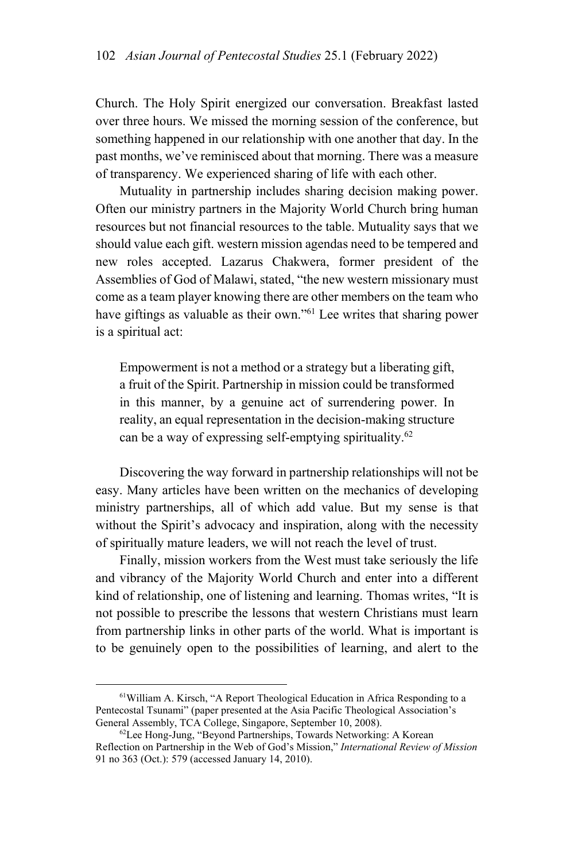Church. The Holy Spirit energized our conversation. Breakfast lasted over three hours. We missed the morning session of the conference, but something happened in our relationship with one another that day. In the past months, we've reminisced about that morning. There was a measure of transparency. We experienced sharing of life with each other.

Mutuality in partnership includes sharing decision making power. Often our ministry partners in the Majority World Church bring human resources but not financial resources to the table. Mutuality says that we should value each gift. western mission agendas need to be tempered and new roles accepted. Lazarus Chakwera, former president of the Assemblies of God of Malawi, stated, "the new western missionary must come as a team player knowing there are other members on the team who have giftings as valuable as their own."<sup>61</sup> Lee writes that sharing power is a spiritual act:

Empowerment is not a method or a strategy but a liberating gift, a fruit of the Spirit. Partnership in mission could be transformed in this manner, by a genuine act of surrendering power. In reality, an equal representation in the decision-making structure can be a way of expressing self-emptying spirituality.62

Discovering the way forward in partnership relationships will not be easy. Many articles have been written on the mechanics of developing ministry partnerships, all of which add value. But my sense is that without the Spirit's advocacy and inspiration, along with the necessity of spiritually mature leaders, we will not reach the level of trust.

Finally, mission workers from the West must take seriously the life and vibrancy of the Majority World Church and enter into a different kind of relationship, one of listening and learning. Thomas writes, "It is not possible to prescribe the lessons that western Christians must learn from partnership links in other parts of the world. What is important is to be genuinely open to the possibilities of learning, and alert to the

 <sup>61</sup>William A. Kirsch, "A Report Theological Education in Africa Responding to a Pentecostal Tsunami" (paper presented at the Asia Pacific Theological Association's General Assembly, TCA College, Singapore, September 10, 2008).<br><sup>62</sup>Lee Hong-Jung, "Beyond Partnerships, Towards Networking: A Korean

Reflection on Partnership in the Web of God's Mission," *International Review of Mission* 91 no 363 (Oct.): 579 (accessed January 14, 2010).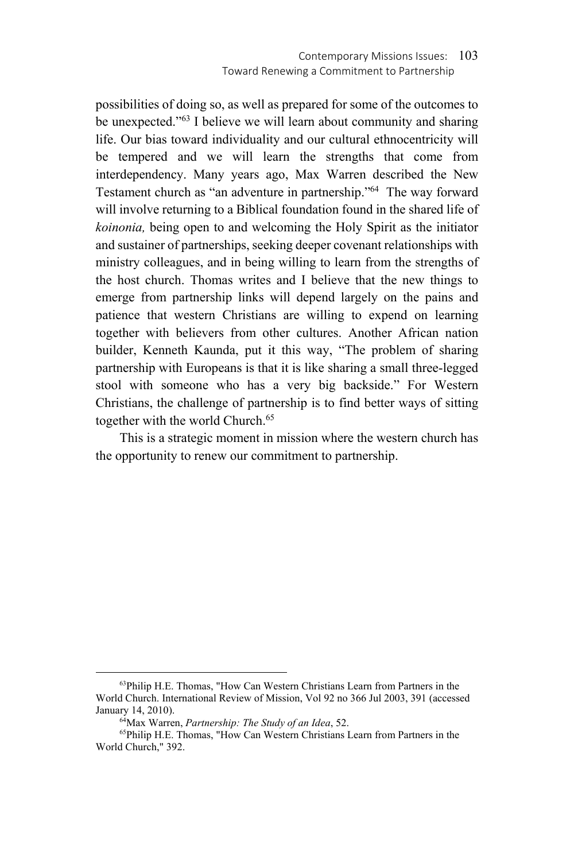possibilities of doing so, as well as prepared for some of the outcomes to be unexpected."<sup>63</sup> I believe we will learn about community and sharing life. Our bias toward individuality and our cultural ethnocentricity will be tempered and we will learn the strengths that come from interdependency. Many years ago, Max Warren described the New Testament church as "an adventure in partnership."64 The way forward will involve returning to a Biblical foundation found in the shared life of *koinonia,* being open to and welcoming the Holy Spirit as the initiator and sustainer of partnerships, seeking deeper covenant relationships with ministry colleagues, and in being willing to learn from the strengths of the host church. Thomas writes and I believe that the new things to emerge from partnership links will depend largely on the pains and patience that western Christians are willing to expend on learning together with believers from other cultures. Another African nation builder, Kenneth Kaunda, put it this way, "The problem of sharing partnership with Europeans is that it is like sharing a small three-legged stool with someone who has a very big backside." For Western Christians, the challenge of partnership is to find better ways of sitting together with the world Church.<sup>65</sup>

This is a strategic moment in mission where the western church has the opportunity to renew our commitment to partnership.

 <sup>63</sup>Philip H.E. Thomas, "How Can Western Christians Learn from Partners in the World Church. International Review of Mission, Vol 92 no 366 Jul 2003, 391 (accessed

<sup>&</sup>lt;sup>64</sup>Max Warren, *Partnership: The Study of an Idea*, 52.<br><sup>65</sup>Philip H.E. Thomas, "How Can Western Christians Learn from Partners in the World Church," 392.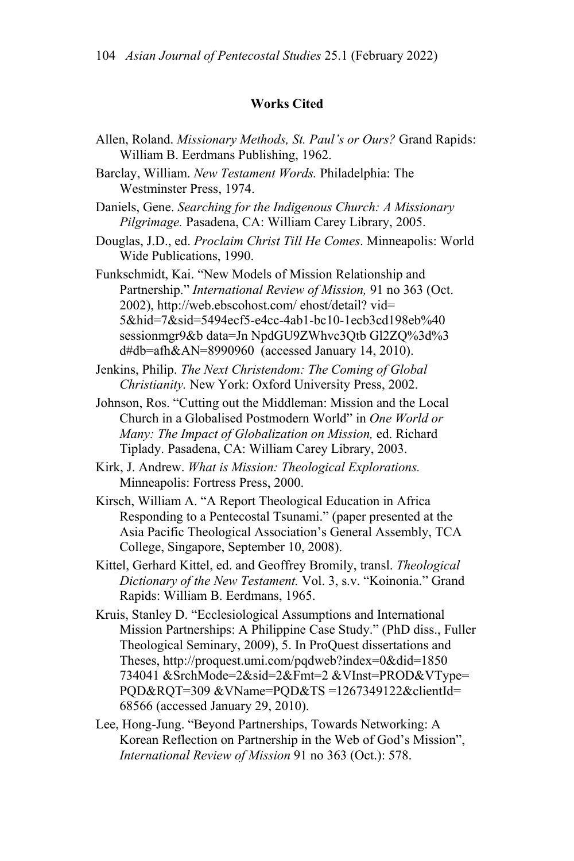### **Works Cited**

- Allen, Roland. *Missionary Methods, St. Paul's or Ours?* Grand Rapids: William B. Eerdmans Publishing, 1962.
- Barclay, William. *New Testament Words.* Philadelphia: The Westminster Press, 1974.
- Daniels, Gene. *Searching for the Indigenous Church: A Missionary Pilgrimage.* Pasadena, CA: William Carey Library, 2005.
- Douglas, J.D., ed. *Proclaim Christ Till He Comes*. Minneapolis: World Wide Publications, 1990.

Funkschmidt, Kai. "New Models of Mission Relationship and Partnership." *International Review of Mission,* 91 no 363 (Oct. 2002), http://web.ebscohost.com/ ehost/detail? vid= 5&hid=7&sid=5494ecf5-e4cc-4ab1-bc10-1ecb3cd198eb%40 sessionmgr9&b data=Jn NpdGU9ZWhvc3Qtb Gl2ZQ%3d%3 d#db=afh&AN=8990960 (accessed January 14, 2010).

- Jenkins, Philip. *The Next Christendom: The Coming of Global Christianity.* New York: Oxford University Press, 2002.
- Johnson, Ros. "Cutting out the Middleman: Mission and the Local Church in a Globalised Postmodern World" in *One World or Many: The Impact of Globalization on Mission,* ed. Richard Tiplady. Pasadena, CA: William Carey Library, 2003.
- Kirk, J. Andrew. *What is Mission: Theological Explorations.*  Minneapolis: Fortress Press, 2000.
- Kirsch, William A. "A Report Theological Education in Africa Responding to a Pentecostal Tsunami." (paper presented at the Asia Pacific Theological Association's General Assembly, TCA College, Singapore, September 10, 2008).
- Kittel, Gerhard Kittel, ed. and Geoffrey Bromily, transl. *Theological Dictionary of the New Testament.* Vol. 3, s.v. "Koinonia." Grand Rapids: William B. Eerdmans, 1965.
- Kruis, Stanley D. "Ecclesiological Assumptions and International Mission Partnerships: A Philippine Case Study." (PhD diss., Fuller Theological Seminary, 2009), 5. In ProQuest dissertations and Theses, http://proquest.umi.com/pqdweb?index=0&did=1850 734041 &SrchMode=2&sid=2&Fmt=2 &VInst=PROD&VType= PQD&RQT=309 &VName=PQD&TS =1267349122&clientId= 68566 (accessed January 29, 2010).
- Lee, Hong-Jung. "Beyond Partnerships, Towards Networking: A Korean Reflection on Partnership in the Web of God's Mission", *International Review of Mission* 91 no 363 (Oct.): 578.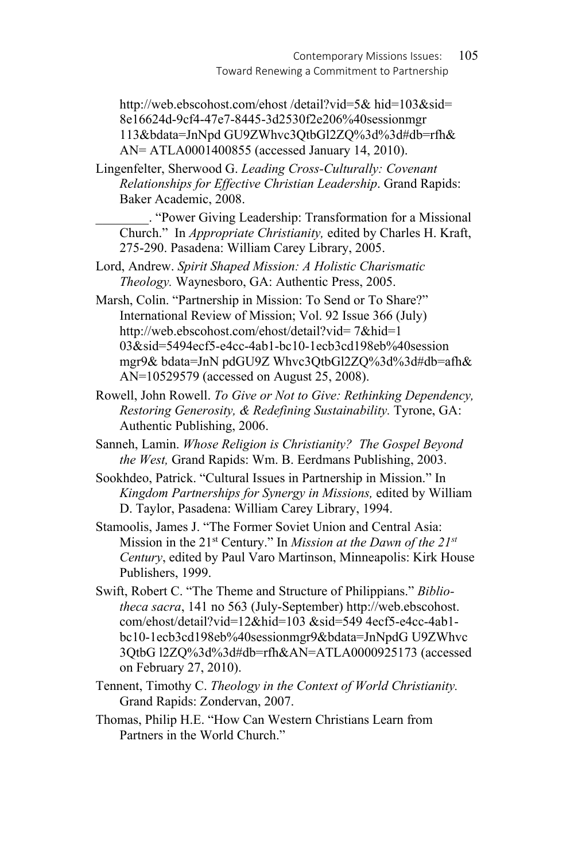http://web.ebscohost.com/ehost /detail?vid=5& hid=103&sid= 8e16624d-9cf4-47e7-8445-3d2530f2e206%40sessionmgr 113&bdata=JnNpd GU9ZWhvc3QtbGl2ZQ%3d%3d#db=rfh& AN= ATLA0001400855 (accessed January 14, 2010).

Lingenfelter, Sherwood G. *Leading Cross-Culturally: Covenant Relationships for Effective Christian Leadership*. Grand Rapids: Baker Academic, 2008.

\_\_\_\_\_\_\_\_. "Power Giving Leadership: Transformation for a Missional Church." In *Appropriate Christianity,* edited by Charles H. Kraft, 275-290. Pasadena: William Carey Library, 2005.

- Lord, Andrew. *Spirit Shaped Mission: A Holistic Charismatic Theology.* Waynesboro, GA: Authentic Press, 2005.
- Marsh, Colin. "Partnership in Mission: To Send or To Share?" International Review of Mission; Vol. 92 Issue 366 (July) http://web.ebscohost.com/ehost/detail?vid= 7&hid=1 03&sid=5494ecf5-e4cc-4ab1-bc10-1ecb3cd198eb%40session mgr9& bdata=JnN pdGU9Z Whvc3QtbGl2ZQ%3d%3d#db=afh& AN=10529579 (accessed on August 25, 2008).
- Rowell, John Rowell. *To Give or Not to Give: Rethinking Dependency, Restoring Generosity, & Redefining Sustainability.* Tyrone, GA: Authentic Publishing, 2006.
- Sanneh, Lamin. *Whose Religion is Christianity? The Gospel Beyond the West,* Grand Rapids: Wm. B. Eerdmans Publishing, 2003.
- Sookhdeo, Patrick. "Cultural Issues in Partnership in Mission." In *Kingdom Partnerships for Synergy in Missions,* edited by William D. Taylor, Pasadena: William Carey Library, 1994.
- Stamoolis, James J. "The Former Soviet Union and Central Asia: Mission in the 21st Century." In *Mission at the Dawn of the 21st Century*, edited by Paul Varo Martinson, Minneapolis: Kirk House Publishers, 1999.
- Swift, Robert C. "The Theme and Structure of Philippians." *Bibliotheca sacra*, 141 no 563 (July-September) http://web.ebscohost. com/ehost/detail?vid=12&hid=103 &sid=549 4ecf5-e4cc-4ab1 bc10-1ecb3cd198eb%40sessionmgr9&bdata=JnNpdG U9ZWhvc 3QtbG l2ZQ%3d%3d#db=rfh&AN=ATLA0000925173 (accessed on February 27, 2010).
- Tennent, Timothy C. *Theology in the Context of World Christianity.*  Grand Rapids: Zondervan, 2007.
- Thomas, Philip H.E. "How Can Western Christians Learn from Partners in the World Church."